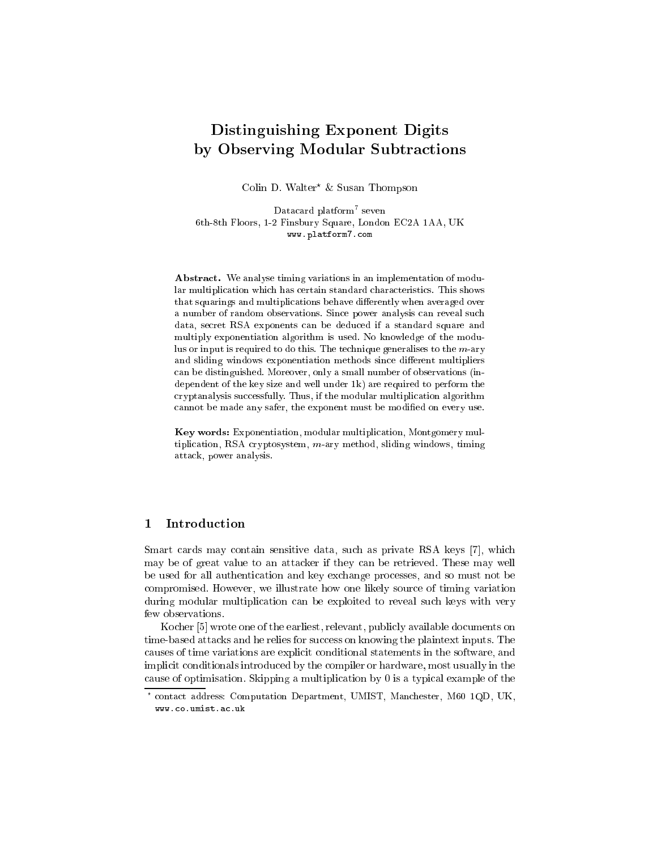# Distinguishing Exponent Digits by Observing Modular Subtractions and the contractions of the contractions of the contractions of the contractions of the contractions of the contractions of the contractions of the contractions of the contractions of the

Colin D. Walter? & Susan Thompson

Datacard platform° seven 6th-8th Floors, 1-2 Finsbury Square, London EC2A 1AA, UK www.platform7.com

Abstract. We analyse timing variations in an implementation of modular multiplication which has certain standard characteristics. This shows that squarings and multiplications behave differently when averaged over a number of random observations. Since power analysis can reveal such data, secret RSA exponents can be deduced if a standard square and multiply exponentiation algorithm is used. No knowledge of the modulus or input is required to do this. The technique generalises to the  $m$ -ary and sliding windows exponentiation methods since different multipliers can be distinguished. Moreover, only a small number of observations (independent of the key size and well under 1k) are required to perform the cryptanalysis successfully. Thus, if the modular multiplication algorithm cannot be made any safer, the exponent must be modified on every use.

Key words: Exponentiation, modular multiplication, Montgomery multiplication, RSA cryptosystem,  $m$ -ary method, sliding windows, timing attack, power analysis.

## 1 Introduction

Smart cards may contain sensitive data, such as private RSA keys [7], which may be of great value to an attacker if they can be retrieved. These may well be used for all authentication and key exchange processes, and so must not be compromised. However, we illustrate how one likely source of timing variation during modular multiplication can be exploited to reveal such keys with very few observations.

Kocher [5] wrote one of the earliest, relevant, publicly available documents on time-based attacks and he relies for success on knowing the plaintext inputs. The causes of time variations are explicit conditional statements in the software, and implicit conditionals introduced by the compiler or hardware, most usually in the cause of optimisation. Skipping a multiplication by 0 is a typical example of the

<sup>?</sup> contact address: Computation Department, UMIST, Manchester, M60 1QD, UK, www.co.umist.ac.uk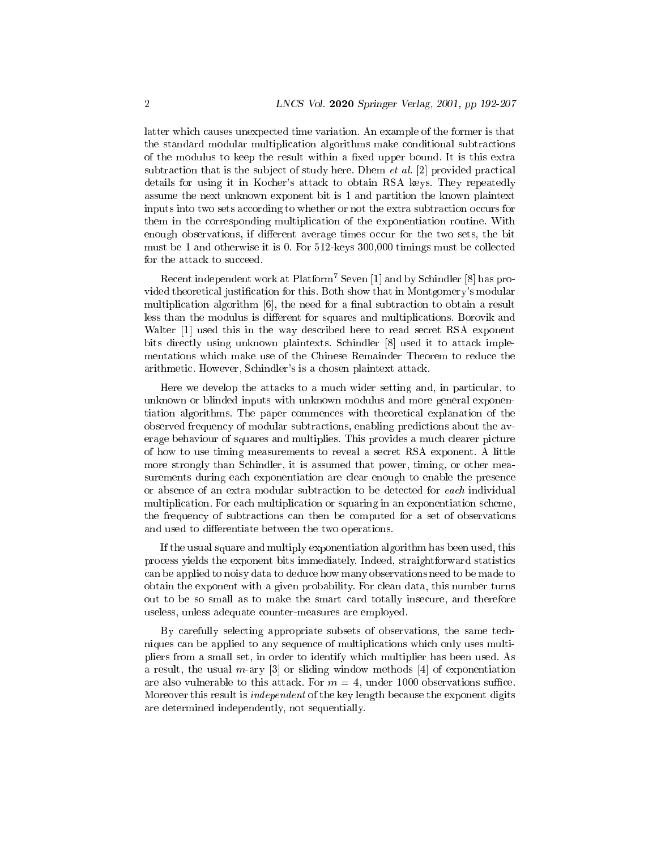latter which causes unexpected time variation. An example of the former is that the standard modular multiplication algorithms make conditional subtractions of the modulus to keep the result within a fixed upper bound. It is this extra subtraction that is the subject of study here. Dhem et al.  $[2]$  provided practical details for using it in Kocher's attack to obtain RSA keys. They repeatedly assume the next unknown exponent bit is 1 and partition the known plaintext inputs into two sets according to whether or not the extra subtraction occurs for them in the corresponding multiplication of the exponentiation routine. With enough observations, if different average times occur for the two sets, the bit must be 1 and otherwise it is 0. For 512-keys 300,000 timings must be collected for the attack to succeed.

Recent independent work at Platform Seven [1] and by Schindler [8] has provided theoretical justification for this. Both show that in Montgomery's modular multiplication algorithm  $[6]$ , the need for a final subtraction to obtain a result less than the modulus is different for squares and multiplications. Borovik and Walter [1] used this in the way described here to read secret RSA exponent bits directly using unknown plaintexts. Schindler [8] used it to attack implementations which make use of the Chinese Remainder Theorem to reduce the arithmetic. However, Schindler's is a chosen plaintext attack.

Here we develop the attacks to a much wider setting and, in particular, to unknown or blinded inputs with unknown modulus and more general exponentiation algorithms. The paper commences with theoretical explanation of the observed frequency of modular subtractions, enabling predictions about the average behaviour of squares and multiplies. This provides a much clearer picture of how to use timing measurements to reveal a secret RSA exponent. A little more strongly than Schindler, it is assumed that power, timing, or other measurements during each exponentiation are clear enough to enable the presence or absence of an extra modular subtraction to be detected for each individual multiplication. For each multiplication or squaring in an exponentiation scheme, the frequency of subtractions can then be computed for a set of observations and used to differentiate between the two operations.

If the usual square and multiply exponentiation algorithm has been used, this process yields the exponent bits immediately. Indeed, straightforward statistics can be applied to noisy data to deduce how many observations need to be made to obtain the exponent with a given probability. For clean data, this number turns out to be so small as to make the smart card totally insecure, and therefore useless, unless adequate counter-measures are employed.

By carefully selecting appropriate subsets of observations, the same techniques can be applied to any sequence of multiplications which only uses multipliers from a small set, in order to identify which multiplier has been used. As a result, the usual  $m$ -ary [3] or sliding window methods [4] of exponentiation are also vulnerable to this attack. For  $m = 4$ , under 1000 observations suffice. Moreover this result is *independent* of the key length because the exponent digits are determined independently, not sequentially.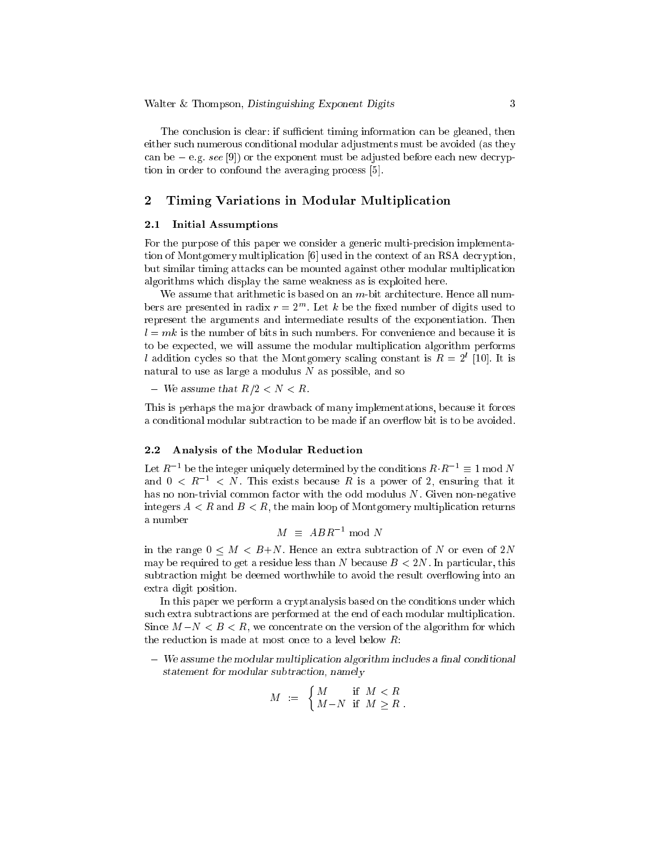The conclusion is clear: if sufficient timing information can be gleaned, then either such numerous conditional modular adjustments must be avoided (as they can be  $-$  e.g. see [9]) or the exponent must be adjusted before each new decryption in order to confound the averaging process [5].

## 2 Timing Variations in Modular Multiplication

## 2.1 Initial Assumptions

For the purpose of this paper we consider a generic multi-precision implementation of Montgomery multiplication [6] used in the context of an RSA decryption, but similar timing attacks can be mounted against other modular multiplication algorithms which display the same weakness as is exploited here.

We assume that arithmetic is based on an m-bit architecture. Hence all numbers are presented in radix  $r=2^m$ . Let k be the fixed number of digits used to represent the arguments and intermediate results of the exponentiation. Then  $l = mk$  is the number of bits in such numbers. For convenience and because it is to be expected, we will assume the modular multiplication algorithm performs l addition cycles so that the Montgomery scaling constant is  $R = 2^l$  [10]. It is natural to use as large a modulus  $N$  as possible, and so

- We assume that  $R/2 < N < R$ .

This is perhaps the major drawback of many implementations, because it forces a conditional modular subtraction to be made if an overflow bit is to be avoided.

## 2.2 Analysis of the Modular Reduction

Let  $R^{-1}$  be the integer uniquely determined by the conditions  $R\cdot R^{-1} \equiv 1 \mod N$ and  $0 \le R^{-1} \le N$ . This exists because R is a power of 2, ensuring that it has no non-trivial common factor with the odd modulus  $N$ . Given non-negative integers  $A \leq R$  and  $B \leq R$ , the main loop of Montgomery multiplication returns a number

$$
M \equiv ABR^{-1} \bmod N
$$

in the range  $0 \leq M < B+N$ . Hence an extra subtraction of N or even of 2N may be required to get a residue less than N because  $B < 2N$ . In particular, this subtraction might be deemed worthwhile to avoid the result overflowing into an extra digit position.

In this paper we perform a cryptanalysis based on the conditions under which such extra subtractions are performed at the end of each modular multiplication. Since  $M-N < B < R$ , we concentrate on the version of the algorithm for which the reduction is made at most once to a level below  $R$ :

 $-$  We assume the modular multiplication algorithm includes a final conditional statement for modular subtraction, namely

$$
M \ := \ \left\{ \begin{aligned} & M & \quad \text{if} \quad M < R \\ & M\!-\!N & \quad \text{if} \quad M \geq R \ . \end{aligned} \right.
$$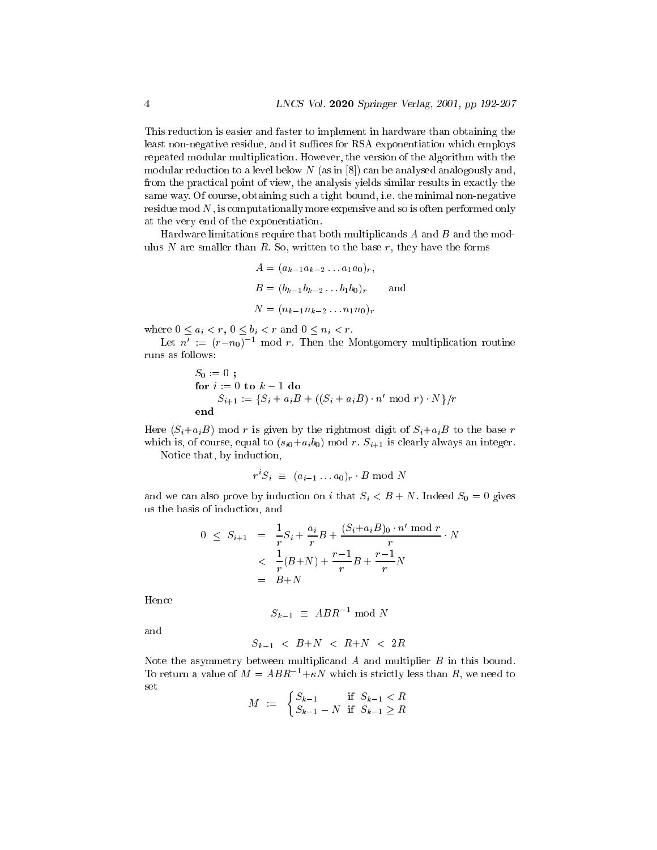This reduction is easier and faster to implement in hardware than obtaining the least non-negative residue, and it suffices for RSA exponentiation which employs repeated modular multiplication. However, the version of the algorithm with the modular reduction to a level below  $N$  (as in [8]) can be analysed analogously and, from the practical point of view, the analysis yields similar results in exactly the same way. Of course, obtaining such a tight bound, i.e. the minimal non-negative residue mod N, is computationally more expensive and so is often performed only at the very end of the exponentiation.

Hardware limitations require that both multiplicands  $A$  and  $B$  and the modulus N are smaller than R. So, written to the base  $r$ , they have the forms

$$
A = (a_{k-1}a_{k-2} \dots a_1 a_0)_r,
$$
  
\n
$$
B = (b_{k-1}b_{k-2} \dots b_1 b_0)_r
$$
 and  
\n
$$
N = (n_{k-1}n_{k-2} \dots n_1 n_0)_r
$$

where  $0 \leq a_i < r$ ,  $0 \leq b_i < r$  and  $0 \leq n_i < r$ .

Let  $n^{\circ} := (r - n_0)^{-\circ}$  mod r. Then the Montgomery multiplication routine runs as follows:

$$
S_0 := 0 ;
$$
  
for  $i := 0$  to  $k - 1$  do  

$$
S_{i+1} := \{ S_i + a_i B + ((S_i + a_i B) \cdot n' \mod r) \cdot N \} / r
$$
  
end

Here  $(S_i+a_iB)$  mod r is given by the rightmost digit of  $S_i+a_iB$  to the base r which is, of course, equal to  $(s_{i0}+a_ib_0) \mod r$ .  $S_{i+1}$  is clearly always an integer.

Notice that, by induction,

$$
r^iS_i \equiv (a_{i-1} \ldots a_0)_r \cdot B \mod N
$$

and we can also prove by induction on i that  $S_i < B + N$ . Indeed  $S_0 = 0$  gives us the basis of induction, and

$$
0 \leq S_{i+1} = \frac{1}{r} S_i + \frac{a_i}{r} B + \frac{(S_i + a_i B)_0 \cdot n' \mod r}{r} \cdot N
$$
  

$$
< \frac{1}{r} (B + N) + \frac{r-1}{r} B + \frac{r-1}{r} N
$$
  

$$
= B + N
$$

Hence

 $S_{k-1} \equiv ABR^{-1} \bmod N$ 

and

$$
S_{k-1} \; < \; B + N \; < \; R + N \; < \; 2R
$$

Note the asymmetry between multiplicand  $A$  and multiplier  $B$  in this bound. To return a value of  $M = ABR^{-1} + \kappa N$  which is strictly less than R, we need to set

$$
M := \begin{cases} S_{k-1} & \text{if } S_{k-1} < R \\ S_{k-1} - N & \text{if } S_{k-1} \ge R \end{cases}
$$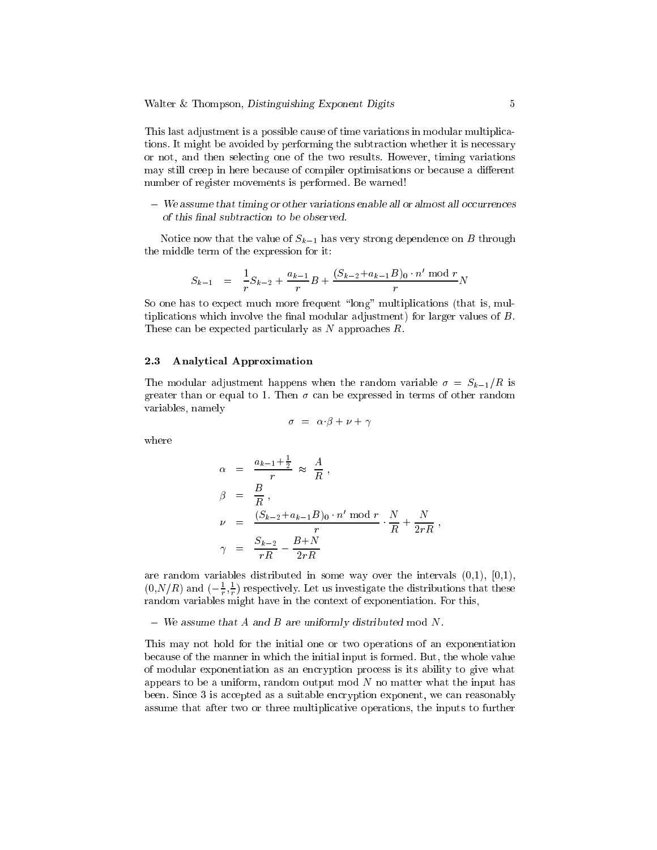This last adjustment is a possible cause of time variations in modular multiplications. It might be avoided by performing the subtraction whether it is necessary or not, and then selecting one of the two results. However, timing variations may still creep in here because of compiler optimisations or because a different number of register movements is performed. Be warned!

 ${\rm -}\;$  We assume that timing or other variations enable all or almost all occurrences

Notice now that the value of  $S_{k-1}$  has very strong dependence on B through the middle term of the expression for it:

$$
S_{k-1} = \frac{1}{r}S_{k-2} + \frac{a_{k-1}}{r}B + \frac{(S_{k-2} + a_{k-1}B)_0 \cdot n' \mod r}{r}N
$$

So one has to expect much more frequent "long" multiplications (that is, multiplications which involve the final modular adjustment) for larger values of  $B$ . These can be expected particularly as  $N$  approaches  $R$ .

#### 2.3 Analytical Approximation

The modular adjustment happens when the random variable  $\sigma = S_{k-1}/R$  is greater than or equal to 1. Then  $\sigma$  can be expressed in terms of other random variables, namely

$$
\sigma = \alpha \cdot \beta + \nu + \gamma
$$

where

$$
\alpha = \frac{a_{k-1} + \frac{1}{2}}{r} \approx \frac{A}{R},
$$
  
\n
$$
\beta = \frac{B}{R},
$$
  
\n
$$
\nu = \frac{(S_{k-2} + a_{k-1}B)_0 \cdot n' \mod r}{r} \cdot \frac{N}{R} + \frac{N}{2rR},
$$
  
\n
$$
\gamma = \frac{S_{k-2}}{rR} - \frac{B+N}{2rR}
$$

are random variables distributed in some way over the intervals  $(0,1)$ ,  $[0,1)$ ,  $(0, N/R)$  and  $\left(-\frac{1}{r}, \frac{1}{r}\right)$  respectively. Let us investigate the distributions that these random variables might have in the context of exponentiation. For this,

 $-$  We assume that A and B are uniformly distributed mod N.

This may not hold for the initial one or two operations of an exponentiation because of the manner in which the initial input is formed. But, the whole value of modular exponentiation as an encryption process is its ability to give what appears to be a uniform, random output mod  $N$  no matter what the input has been. Since 3 is accepted as a suitable encryption exponent, we can reasonably assume that after two or three multiplicative operations, the inputs to further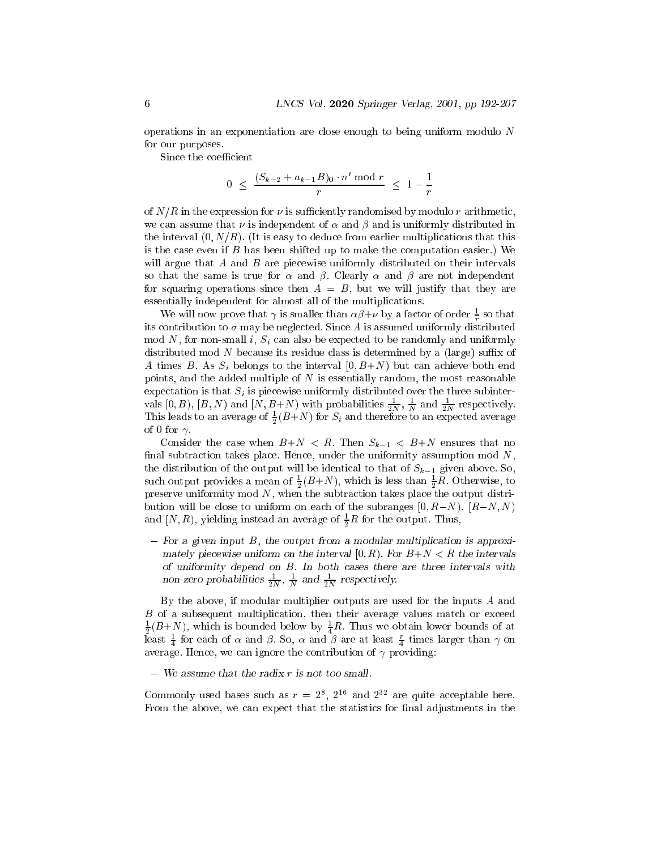operations in an exponentiation are close enough to being uniform modulo  $N$ for our purposes.

Since the coefficient

$$
0 \ \leq \ \frac{(S_{k-2} + a_{k-1}B)_0 \cdot n' \, \bmod \, r}{r} \ \leq \ 1 - \frac{1}{r}
$$

of  $N/R$  in the expression for  $\nu$  is sufficiently randomised by modulo r arithmetic, we can assume that  $\nu$  is independent of  $\alpha$  and  $\beta$  and is uniformly distributed in the interval  $(0, N/R)$ . (It is easy to deduce from earlier multiplications that this is the case even if  $B$  has been shifted up to make the computation easier.) We will argue that A and B are piecewise uniformly distributed on their intervals so that the same is true for  $\alpha$  and  $\beta$ . Clearly  $\alpha$  and  $\beta$  are not independent for squaring operations since then  $A = B$ , but we will justify that they are essentially independent for almost all of the multiplications.

We will now prove that  $\gamma$  is smaller than  $\alpha\beta+\nu$  by a factor of order  $\frac{1}{\pi}$  so that its contribution to  $\sigma$  may be neglected. Since A is assumed uniformly distributed mod N, for non-small i,  $S_i$  can also be expected to be randomly and uniformly distributed mod  $N$  because its residue class is determined by a (large) suffix of A times B. As  $S_i$  belongs to the interval  $[0, B+N)$  but can achieve both end points, and the added multiple of  $N$  is essentially random, the most reasonable expectation is that  $S_i$  is piecewise uniformly distributed over the three subintervals  $[0, B)$ ,  $[B, N)$  and  $[N, B+N)$  with probabilities  $\frac{1}{2N}, \frac{1}{N}$  and  $\frac{1}{2N}$  respectively. This leads to an average of  $\frac{1}{2}(B+N)$  for  $S_i$  and therefore to an expected average of 0 for  $\gamma$ .

Consider the case when  $B+N < R$ . Then  $S_{k-1} < B+N$  ensures that no final subtraction takes place. Hence, under the uniformity assumption mod  $N$ , the distribution of the output will be identical to that of  $S_{k-1}$  given above. So, such output provides a mean of  $\frac{1}{2}(B+N)$ , which is less than  $\frac{1}{2}R$ . Otherwise, to <sup>2</sup> preserve uniformity mod N, when the subtraction takes place the output distribution will be close to uniform on each of the subranges  $[0, R-N)$ ,  $[R-N, N]$ and  $[N, R)$ , yielding instead an average of  $\frac{1}{2}R$  for the output. Thus,

 ${F}$  = For a given input B, the output from a modular multiplication is approximately piecewise uniform on the interval  $[0, R)$ . For  $B+N < R$  the intervals of uniformity depend on B. In both cases there are three intervals with non-zero probabilities  $\frac{1}{2N}, \frac{1}{N}$  and  $\frac{1}{2N}$  respectively.

By the above, if modular multiplier outputs are used for the inputs A and B of a subsequent multiplication, then their average values match or exceed  $\frac{1}{2}(B+N)$ , which is bounded below by  $\frac{1}{4}R$ . Thus we obtain lower bounds of at least  $\frac{1}{4}$  for each of  $\alpha$  and  $\beta$ . So,  $\alpha$  and  $\beta$  are at least  $\frac{r}{4}$  times larger than  $\gamma$  on average. Hence, we can ignore the contribution of  $\gamma$  providing:

 $-$  We assume that the radix r is not too small.

Commonly used bases such as  $r = 2^\circ$ ,  $2^{10}$  and  $2^{10}$  are quite acceptable here. From the above, we can expect that the statistics for final adjustments in the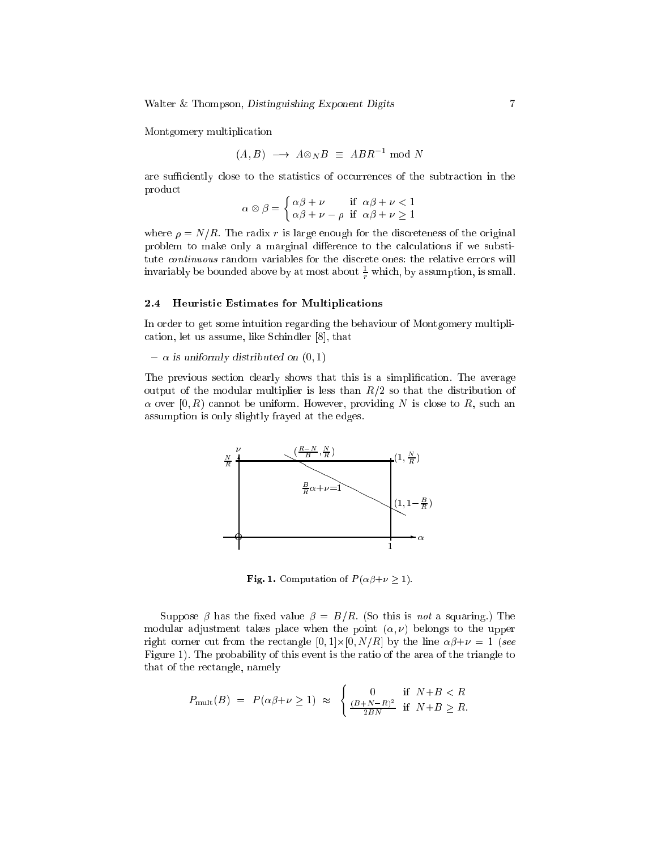Montgomery multiplication

$$
(A, B) \longrightarrow A \otimes_N B \equiv A B R^{-1} \bmod N
$$

are sufficiently close to the statistics of occurrences of the subtraction in the product

$$
\alpha \otimes \beta = \begin{cases} \alpha \beta + \nu & \text{if } \alpha \beta + \nu < 1 \\ \alpha \beta + \nu - \rho & \text{if } \alpha \beta + \nu \ge 1 \end{cases}
$$

where  $\rho = N/R$ . The radix r is large enough for the discreteness of the original problem to make only a marginal difference to the calculations if we substitute *continuous* random variables for the discrete ones: the relative errors will invariably be bounded above by at most about  $\frac{1}{r}$  which, by assumption, is small.

#### 2.4 Heuristic Estimates for Multiplications

In order to get some intuition regarding the behaviour of Montgomery multiplication, let us assume, like Schindler [8], that

 ${} - \alpha$  is uniformly distributed on  $(0, 1)$ 

The previous section clearly shows that this is a simplication. The average output of the modular multiplier is less than  $R/2$  so that the distribution of  $\alpha$  over [0, R] cannot be uniform. However, providing N is close to R, such an assumption is only slightly frayed at the edges.



**Fig. 1.** Computation of  $P(\alpha\beta + \nu \geq 1)$ .

Suppose  $\beta$  has the fixed value  $\beta = B/R$ . (So this is not a squaring.) The modular adjustment takes place when the point  $(\alpha, \nu)$  belongs to the upper right corner cut from the rectangle  $[0,1] \times [0,N/R]$  by the line  $\alpha\beta+\nu = 1$  (see Figure 1). The probability of this event is the ratio of the area of the triangle to that of the rectangle, namely

$$
P_{\text{mult}}(B) = P(\alpha\beta + \nu \ge 1) \approx \begin{cases} 0 & \text{if } N + B < R \\ \frac{(B + N - R)^2}{2BN} & \text{if } N + B \ge R. \end{cases}
$$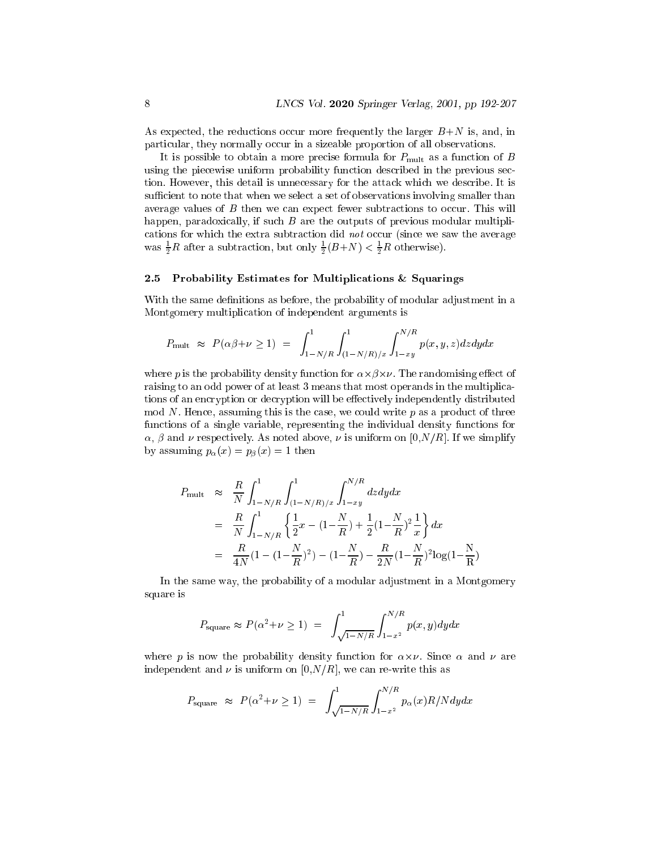As expected, the reductions occur more frequently the larger  $B+N$  is, and, in particular, they normally occur in a sizeable proportion of all observations.

It is possible to obtain a more precise formula for  $P_{\text{mult}}$  as a function of B using the piecewise uniform probability function described in the previous section. However, this detail is unnecessary for the attack which we describe. It is sufficient to note that when we select a set of observations involving smaller than average values of  $B$  then we can expect fewer subtractions to occur. This will happen, paradoxically, if such  $B$  are the outputs of previous modular multiplications for which the extra subtraction did not occur (since we saw the average was  $\frac{1}{2}R$  after a subtraction, but only  $\frac{1}{2}(B+N) < \frac{1}{2}R$  otherwise).

### 2.5 Probability Estimates for Multiplications & Squarings

With the same definitions as before, the probability of modular adjustment in a Montgomery multiplication of independent arguments is

$$
P_{\rm mult} \approx P(\alpha \beta + \nu \ge 1) = \int_{1 - N/R}^{1} \int_{(1 - N/R)/x}^{1} \int_{1 - xy}^{N/R} p(x, y, z) dz dy dx
$$

where p is the probability density function for  $\alpha\times\beta\times\nu$ . The randomising effect of raising to an odd power of at least 3 means that most operands in the multiplications of an encryption or decryption will be effectively independently distributed mod N. Hence, assuming this is the case, we could write  $p$  as a product of three functions of a single variable, representing the individual density functions for  $\alpha$ ,  $\beta$  and  $\nu$  respectively. As noted above,  $\nu$  is uniform on [0,N/R]. If we simplify by assuming  $p_{\alpha}(x) = p_{\beta}(x) = 1$  then

$$
P_{\text{mult}} \approx \frac{R}{N} \int_{1-N/R}^{1} \int_{(1-N/R)/x}^{1} \int_{1-xy}^{N/R} dz dy dx
$$
  
=  $\frac{R}{N} \int_{1-N/R}^{1} \left\{ \frac{1}{2}x - (1-\frac{N}{R}) + \frac{1}{2}(1-\frac{N}{R})^2 \frac{1}{x} \right\} dx$   
=  $\frac{R}{4N} (1 - (1-\frac{N}{R})^2) - (1-\frac{N}{R}) - \frac{R}{2N} (1-\frac{N}{R})^2 \log(1-\frac{N}{R})$ 

In the same way, the probability of a modular adjustment in a Montgomery square is

$$
P_{\text{square}} \approx P(\alpha^2 + \nu \ge 1) = \int_{\sqrt{1-N/R}}^{1} \int_{1-x^2}^{N/R} p(x, y) dy dx
$$

where  $p$  is now the probability density function for  $\alpha \times \nu$ . Since  $\alpha$  and  $\nu$  are independent and  $\nu$  is uniform on [0,N/R], we can re-write this as

$$
P_{\text{square}} \approx P(\alpha^2 + \nu \ge 1) = \int_{\sqrt{1-N/R}}^1 \int_{1-x^2}^{N/R} p_\alpha(x) R/N dy dx
$$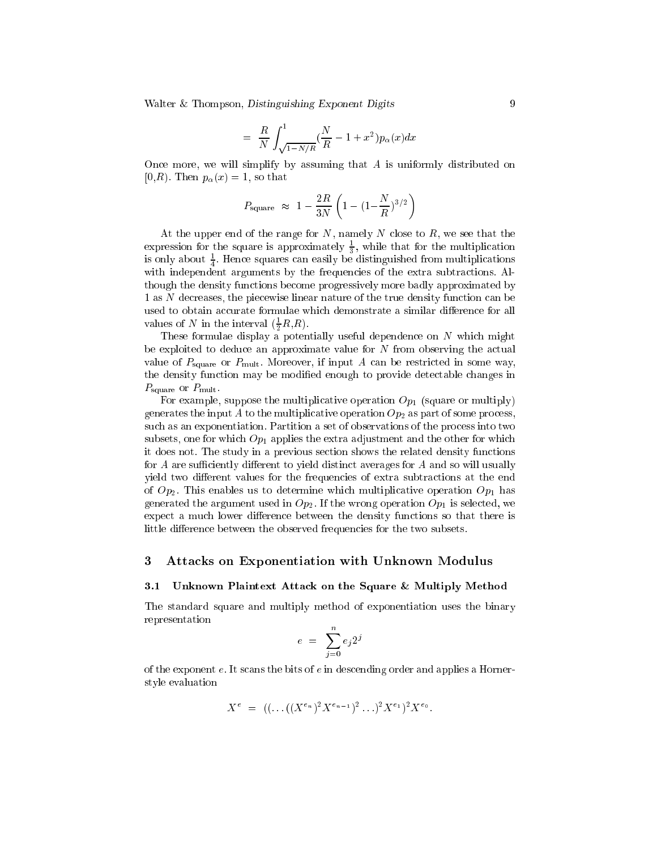Walter & Thompson, Distinguishing Exponent Digits 9

$$
= \frac{R}{N} \int_{\sqrt{1-N/R}}^1 (\frac{N}{R} - 1 + x^2) p_\alpha(x) dx
$$

Once more, we will simplify by assuming that A is uniformly distributed on [0,R]. Then  $p_{\alpha}(x) = 1$ , so that

$$
P_{\text{square}} \approx 1 - \frac{2R}{3N} \left( 1 - (1 - \frac{N}{R})^{3/2} \right)
$$

At the upper end of the range for  $N$ , namely  $N$  close to  $R$ , we see that the expression for the square is approximately  $\frac{1}{2}$ , while that for the multiplication is only about  $\frac{1}{6}$ . Hence squares can easily be distinguished from multiplications with independent arguments by the frequencies of the extra subtractions. Although the density functions become progressively more badly approximated by 1 as N decreases, the piecewise linear nature of the true density function can be used to obtain accurate formulae which demonstrate a similar difference for all values of N in the interval  $(\frac{1}{2}R, R)$ .

These formulae display a potentially useful dependence on  $N$  which might be exploited to deduce an approximate value for  $N$  from observing the actual value of  $P_{square}$  or  $P_{mult}$ . Moreover, if input A can be restricted in some way, the density function may be modied enough to provide detectable changes in  $P_{\text{square}}$  or  $P_{\text{mult}}$ .

For example, suppose the multiplicative operation  $Op_1$  (square or multiply) generates the input A to the multiplicative operation  $Op_2$  as part of some process. such as an exponentiation. Partition a set of observations of the process into two subsets, one for which  $Op_1$  applies the extra adjustment and the other for which it does not. The study in a previous section shows the related density functions for A are sufficiently different to yield distinct averages for A and so will usually yield two different values for the frequencies of extra subtractions at the end of  $Op_2$ . This enables us to determine which multiplicative operation  $Op_1$  has generated the argument used in  $Op_2$ . If the wrong operation  $Op_1$  is selected, we expect a much lower difference between the density functions so that there is little difference between the observed frequencies for the two subsets.

## 3 Attacks on Exponentiation with Unknown Modulus

#### 3.1 Unknown Plaintext Attack on the Square & Multiply Method

The standard square and multiply method of exponentiation uses the binary representation

$$
e = \sum_{j=0}^{n} e_j 2^j
$$

of the exponent e. It scans the bits of e in descending order and applies a Hornerstyle evaluation

$$
X^{e} = ((\dots ((X^{e_n})^2 X^{e_{n-1}})^2 \dots )^2 X^{e_1})^2 X^{e_0}.
$$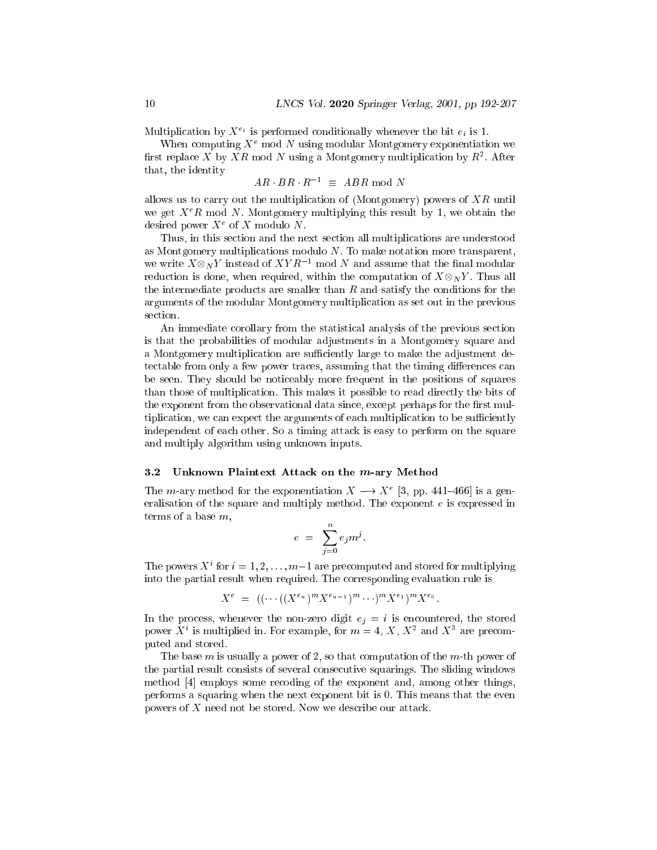Multiplication by  $X^{e_i}$  is performed conditionally whenever the bit  $e_i$  is 1.

When computing  $X^e$  mod N using modular Montgomery exponentiation we first replace X by XR mod N using a Montgomery multiplication by  $R<sup>2</sup>$ . After that, the identity

$$
AR \, BR \, R^{-1} \equiv ABR \bmod N
$$

allows us to carry out the multiplication of (Montgomery) powers of  $XR$  until we get  $X^eR$  mod N. Montgomery multiplying this result by 1, we obtain the desired power  $X^e$  of  $X$  modulo  $N$ .

Thus, in this section and the next section all multiplications are understood as Montgomery multiplications modulo  $N$ . To make notation more transparent, we write  $X\otimes_N Y$  instead of  $XYR^{-1}$  mod N and assume that the final modular reduction is done, when required, within the computation of  $X \otimes_N Y$ . Thus all the intermediate products are smaller than  $R$  and satisfy the conditions for the arguments of the modular Montgomery multiplication as set out in the previous section.

An immediate corollary from the statistical analysis of the previous section is that the probabilities of modular adjustments in a Montgomery square and a Montgomery multiplication are sufficiently large to make the adjustment detectable from only a few power traces, assuming that the timing differences can be seen. They should be noticeably more frequent in the positions of squares than those of multiplication. This makes it possible to read directly the bits of the exponent from the observational data since, except perhaps for the first multiplication, we can expect the arguments of each multiplication to be sufficiently independent of each other. So a timing attack is easy to perform on the square and multiply algorithm using unknown inputs.

#### 3.2 Unknown Plaintext Attack on the m-ary Method

The m-ary method for the exponentiation  $X \longrightarrow X^e$  [3, pp. 441-466] is a generalisation of the square and multiply method. The exponent e is expressed in terms of a base  $m$ ,

$$
e = \sum_{j=0}^{n} e_j m^j.
$$

The powers  $X^i$  for  $i = 1, 2, \ldots, m-1$  are precomputed and stored for multiplying into the partial result when required. The corresponding evaluation rule is

$$
X^{e} = ((\cdots ((X^{e_n})^{m} X^{e_{n-1}})^{m} \cdots )^{m} X^{e_1})^{m} X^{e_0}.
$$

In the process, whenever the non-zero digit  $e_j = i$  is encountered, the stored power  $X^i$  is multiplied in. For example, for  $m=4, X, X^2$  and  $X^3$  are precomputed and stored.

The base m is usually a power of 2, so that computation of the m-th power of the partial result consists of several consecutive squarings. The sliding windows method [4] employs some recoding of the exponent and, among other things, performs a squaring when the next exponent bit is 0. This means that the even powers of X need not be stored. Now we describe our attack.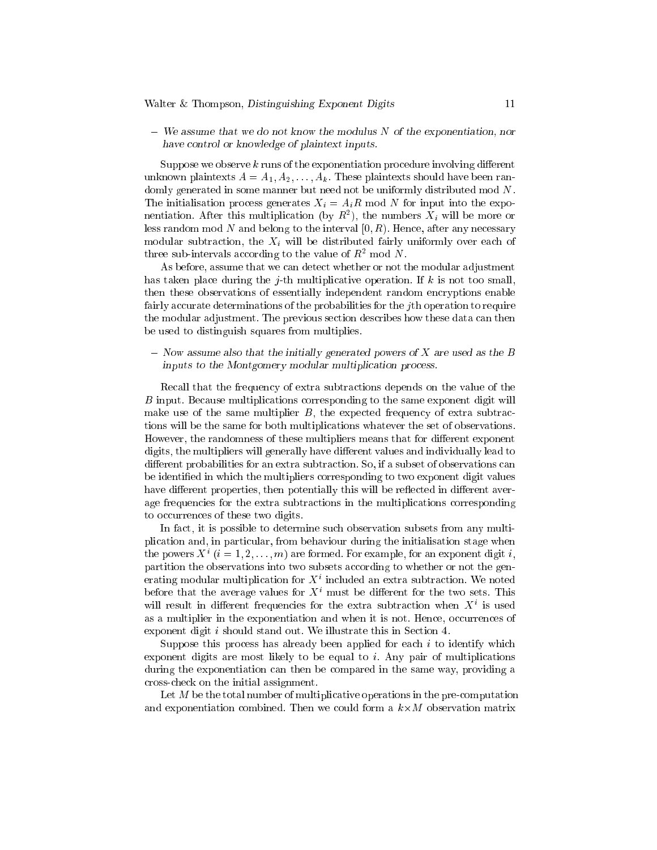${\bf W}$  = We assume that we do not know the modulus N of the exponentiation, nor have control or knowledge of plaintext inputs.

Suppose we observe k runs of the exponentiation procedure involving different unknown plaintexts  $A = A_1, A_2, \ldots, A_k$ . These plaintexts should have been randomly generated in some manner but need not be uniformly distributed mod N. The initialisation process generates  $X_i = A_iR$  mod N for input into the exponentiation. After this multiplication (by  $R^2$ ), the numbers  $X_i$  will be more or less random mod N and belong to the interval  $[0, R)$ . Hence, after any necessary modular subtraction, the  $X_i$  will be distributed fairly uniformly over each of three sub-intervals according to the value of  $R^2$  mod  $N$ .

As before, assume that we can detect whether or not the modular adjustment has taken place during the j-th multiplicative operation. If k is not too small, then these observations of essentially independent random encryptions enable fairly accurate determinations of the probabilities for the jth operation to require the modular adjustment. The previous section describes how these data can then be used to distinguish squares from multiplies.

## $-$  Now assume also that the initially generated powers of X are used as the B inputs to the Montgomery modular multiplication process.

Recall that the frequency of extra subtractions depends on the value of the B input. Because multiplications corresponding to the same exponent digit will make use of the same multiplier  $B$ , the expected frequency of extra subtractions will be the same for both multiplications whatever the set of observations. However, the randomness of these multipliers means that for different exponent digits, the multipliers will generally have different values and individually lead to different probabilities for an extra subtraction. So, if a subset of observations can be identied in which the multipliers corresponding to two exponent digit values have different properties, then potentially this will be reflected in different average frequencies for the extra subtractions in the multiplications corresponding to occurrences of these two digits.

In fact, it is possible to determine such observation subsets from any multiplication and, in particular, from behaviour during the initialisation stage when the powers  $X^i$   $(i = 1, 2, \ldots, m)$  are formed. For example, for an exponent digit i, partition the observations into two subsets according to whether or not the generating modular multiplication for  $X<sup>i</sup>$  included an extra subtraction. We noted before that the average values for  $X<sup>i</sup>$  must be different for the two sets. This will result in different frequencies for the extra subtraction when  $X<sup>i</sup>$  is used as a multiplier in the exponentiation and when it is not. Hence, occurrences of exponent digit i should stand out. We illustrate this in Section 4.

Suppose this process has already been applied for each  $i$  to identify which exponent digits are most likely to be equal to i. Any pair of multiplications during the exponentiation can then be compared in the same way, providing a cross-check on the initial assignment.

Let  $M$  be the total number of multiplicative operations in the pre-computation and exponentiation combined. Then we could form a  $k \times M$  observation matrix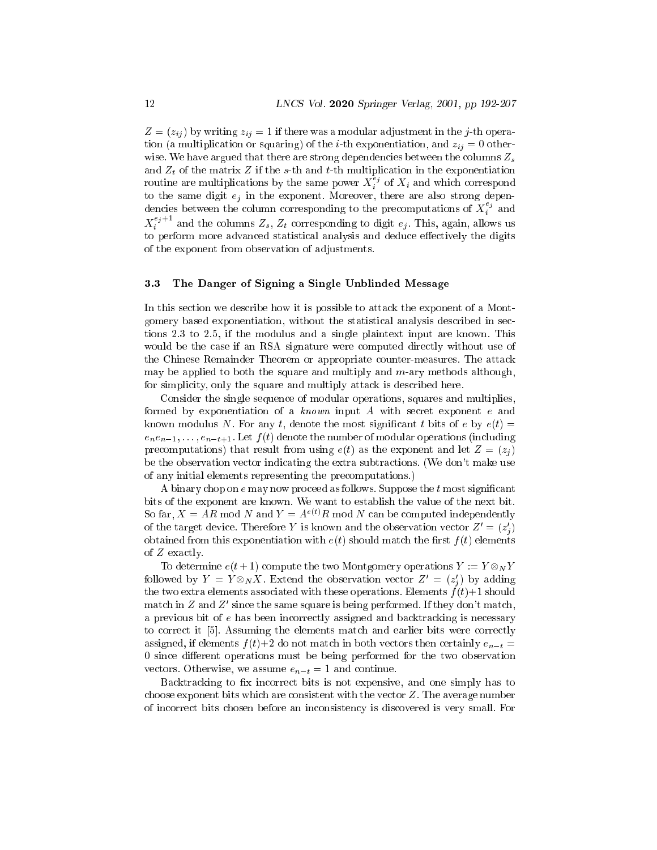$Z = (z_{ij})$  by writing  $z_{ij} = 1$  if there was a modular adjustment in the j-th operation (a multiplication or squaring) of the *i*-th exponentiation, and  $z_{ij} = 0$  otherwise. We have argued that there are strong dependencies between the columns  $Z_s$ and  $Z_t$  of the matrix Z if the s-th and t-th multiplication in the exponentiation routine are multiplications by the same power  $X_i^{\epsilon_j}$  of  $X_i$  and which correspond to the same digit  $e_j$  in the exponent. Moreover, there are also strong dependencies between the column corresponding to the precomputations of  $X_i^{c_j}$  and  $X_i^{e_j+1}$  and the columns  $Z_s$ ,  $Z_t$  corresponding to digit  $e_j$ . This, again, allows us to perform more advanced statistical analysis and deduce effectively the digits of the exponent from observation of adjustments.

#### 3.3 The Danger of Signing a Single Unblinded Message

In this section we describe how it is possible to attack the exponent of a Montgomery based exponentiation, without the statistical analysis described in sections 2.3 to 2.5, if the modulus and a single plaintext input are known. This would be the case if an RSA signature were computed directly without use of the Chinese Remainder Theorem or appropriate counter-measures. The attack may be applied to both the square and multiply and  $m$ -ary methods although, for simplicity, only the square and multiply attack is described here.

Consider the single sequence of modular operations, squares and multiplies, formed by exponentiation of a known input A with secret exponent <sup>e</sup> and known modulus N. For any t, denote the most significant t bits of e by  $e(t)$  =  $e_ne_{n-1}, \ldots, e_{n-t+1}$ . Let  $f(t)$  denote the number of modular operations (including precomputations) that result from using  $e(t)$  as the exponent and let  $Z = (z_i)$ be the observation vector indicating the extra subtractions. (We don't make use of any initial elements representing the precomputations.)

A binary chop on  $e$  may now proceed as follows. Suppose the  $t$  most significant bits of the exponent are known. We want to establish the value of the next bit. So far,  $X = AR \text{ mod } N$  and  $Y = A^{e(t)}R \text{ mod } N$  can be computed independently of the target device. Therefore Y is known and the observation vector  $Z' = (z'_i)$ obtained from this exponentiation with  $e(t)$  should match the first  $f(t)$  elements of Z exactly.

To determine  $e(t+1)$  compute the two Montgomery operations  $Y := Y \otimes_N Y$ followed by  $Y = Y \otimes_N X$ . Extend the observation vector  $Z' = (z'_i)$  by adding the two extra elements associated with these operations. Elements  $f(t)+1$  should match in Z and Z' since the same square is being performed. If they don't match, a previous bit of e has been incorrectly assigned and backtracking is necessary to correct it [5]. Assuming the elements match and earlier bits were correctly assigned, if elements  $f(t)+2$  do not match in both vectors then certainly  $e_{n-t}$ 0 since different operations must be being performed for the two observation vectors. Otherwise, we assume  $e_{n-t} = 1$  and continue.

Backtracking to fix incorrect bits is not expensive, and one simply has to choose exponent bits which are consistent with the vector Z. The average number of incorrect bits chosen before an inconsistency is discovered is very small. For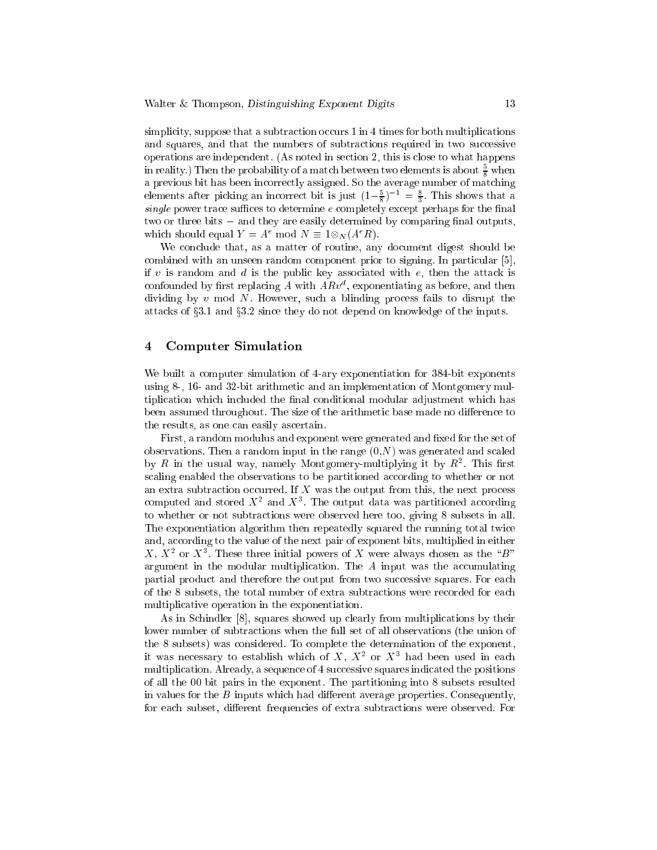simplicity, suppose that a subtraction occurs 1 in 4 times for both multiplications and squares, and that the numbers of subtractions required in two successive operations are independent. (As noted in section 2, this is close to what happens in reality.) Then the probability of a match between two elements is about  $\frac{1}{8}$  when a previous bit has been incorrectly assigned. So the average number of matching elements after picking an incorrect bit is just  $(1-\frac{1}{2})^{-1} = \frac{1}{2}$ . I his shows that a *single* power trace suffices to determine e completely except perhaps for the final two or three bits  $-$  and they are easily determined by comparing final outputs, which should equal  $Y = A^e \mod N \equiv 1 \otimes_N (A^e R)$ .

We conclude that, as a matter of routine, any document digest should be combined with an unseen random component prior to signing. In particular [5], if v is random and d is the public key associated with  $e$ , then the attack is confounded by first replacing A with  $ARv^d$ , exponentiating as before, and then dividing by  $v \mod N$ . However, such a blinding process fails to disrupt the attacks of  $\S 3.1$  and  $\S 3.2$  since they do not depend on knowledge of the inputs.

## 4 Computer Simulation

We built a computer simulation of 4-ary exponentiation for 384-bit exponents using 8-, 16- and 32-bit arithmetic and an implementation of Montgomery multiplication which included the final conditional modular adjustment which has been assumed throughout. The size of the arithmetic base made no difference to the results, as one can easily ascertain.

First, a random modulus and exponent were generated and fixed for the set of observations. Then a random input in the range  $(0,N)$  was generated and scaled by R in the usual way, namely Montgomery-multiplying it by  $R^2$ . This first scaling enabled the observations to be partitioned according to whether or not an extra subtraction occurred. If  $X$  was the output from this, the next process computed and stored  $X^2$  and  $X^3$ . The output data was partitioned according to whether or not subtractions were observed here too, giving 8 subsets in all. The exponentiation algorithm then repeatedly squared the running total twice and, according to the value of the next pair of exponent bits, multiplied in either X,  $X^2$  or  $X^3$ . These three initial powers of X were always chosen as the "B" argument in the modular multiplication. The A input was the accumulating partial product and therefore the output from two successive squares. For each of the 8 subsets, the total number of extra subtractions were recorded for each multiplicative operation in the exponentiation.

As in Schindler [8], squares showed up clearly from multiplications by their lower number of subtractions when the full set of all observations (the union of the 8 subsets) was considered. To complete the determination of the exponent, it was necessary to establish which of X,  $X^2$  or  $X^3$  had been used in each multiplication. Already, a sequence of 4 successive squares indicated the positions of all the 00 bit pairs in the exponent. The partitioning into 8 subsets resulted in values for the  $B$  inputs which had different average properties. Consequently, for each subset, different frequencies of extra subtractions were observed. For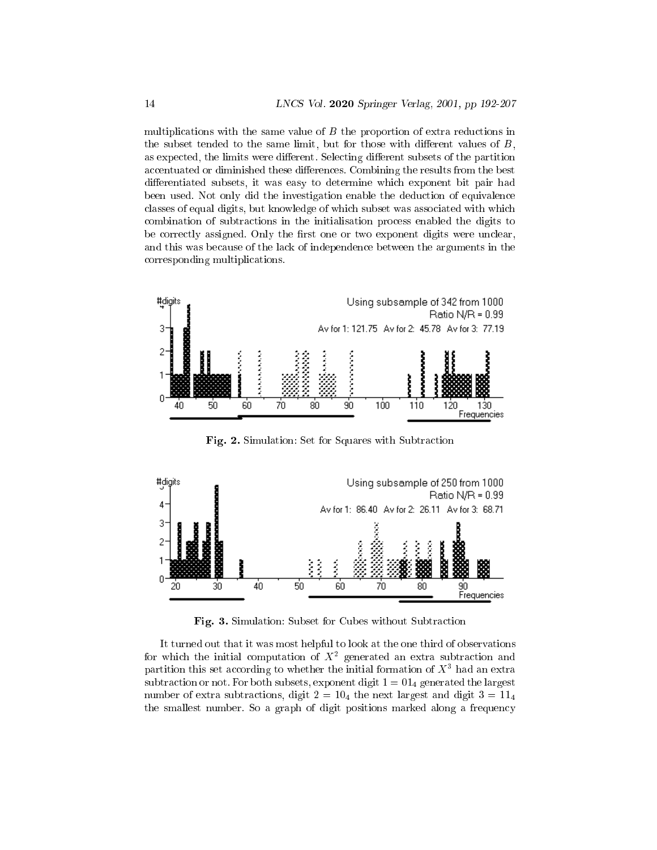multiplications with the same value of  $B$  the proportion of extra reductions in the subset tended to the same limit, but for those with different values of  $B$ , as expected, the limits were different. Selecting different subsets of the partition accentuated or diminished these differences. Combining the results from the best differentiated subsets, it was easy to determine which exponent bit pair had been used. Not only did the investigation enable the deduction of equivalence classes of equal digits, but knowledge of which subset was associated with which combination of subtractions in the initialisation process enabled the digits to be correctly assigned. Only the first one or two exponent digits were unclear, and this was because of the lack of independence between the arguments in the corresponding multiplications.



Fig. 2. Simulation: Set for Squares with Subtraction



Fig. 3. Simulation: Subset for Cubes without Subtraction

It turned out that it was most helpful to look at the one third of observations for which the initial computation of  $X^2$  generated an extra subtraction and partition this set according to whether the initial formation of  $X^3$  had an extra subtraction or not. For both subsets, exponent digit  $1 = 01<sub>4</sub>$  generated the largest number of extra subtractions, digit  $2 = 10<sub>4</sub>$  the next largest and digit  $3 = 11<sub>4</sub>$ the smallest number. So a graph of digit positions marked along a frequency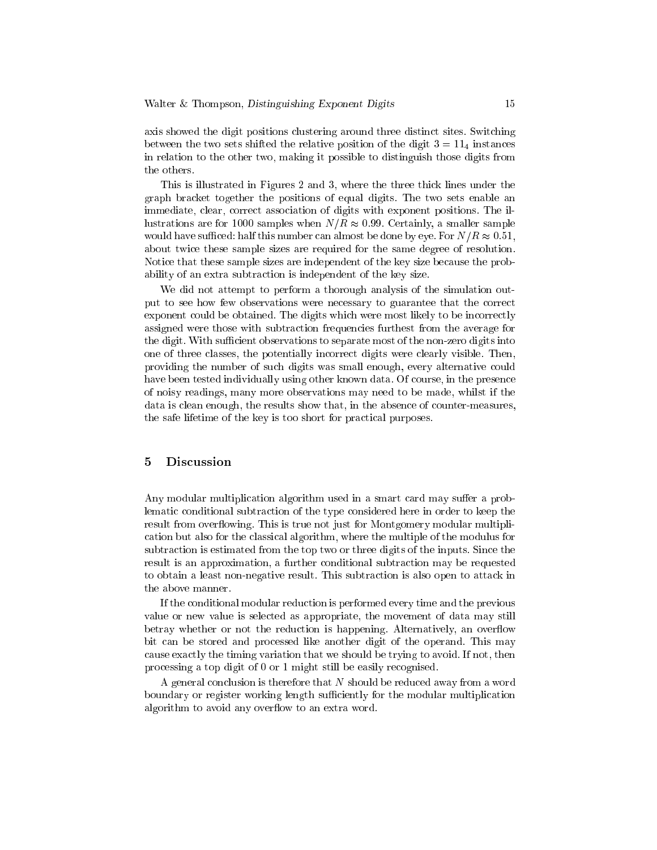axis showed the digit positions clustering around three distinct sites. Switching between the two sets shifted the relative position of the digit  $3 = 11<sub>4</sub>$  instances in relation to the other two, making it possible to distinguish those digits from the others.

This is illustrated in Figures 2 and 3, where the three thick lines under the graph bracket together the positions of equal digits. The two sets enable an immediate, clear, correct association of digits with exponent positions. The illustrations are for 1000 samples when  $N/R \approx 0.99$ . Certainly, a smaller sample would have sufficed: half this number can almost be done by eye. For  $N/R \approx 0.51$ , about twice these sample sizes are required for the same degree of resolution. Notice that these sample sizes are independent of the key size because the probability of an extra subtraction is independent of the key size.

We did not attempt to perform a thorough analysis of the simulation output to see how few observations were necessary to guarantee that the correct exponent could be obtained. The digits which were most likely to be incorrectly assigned were those with subtraction frequencies furthest from the average for the digit. With sufficient observations to separate most of the non-zero digits into one of three classes, the potentially incorrect digits were clearly visible. Then, providing the number of such digits was small enough, every alternative could have been tested individually using other known data. Of course, in the presence of noisy readings, many more observations may need to be made, whilst if the data is clean enough, the results show that, in the absence of counter-measures, the safe lifetime of the key is too short for practical purposes.

Any modular multiplication algorithm used in a smart card may suffer a problematic conditional subtraction of the type considered here in order to keep the result from overflowing. This is true not just for Montgomery modular multiplication but also for the classical algorithm, where the multiple of the modulus for subtraction is estimated from the top two or three digits of the inputs. Since the result is an approximation, a further conditional subtraction may be requested to obtain a least non-negative result. This subtraction is also open to attack in the above manner.

If the conditional modular reduction is performed every time and the previous value or new value is selected as appropriate, the movement of data may still betray whether or not the reduction is happening. Alternatively, an overflow bit can be stored and processed like another digit of the operand. This may cause exactly the timing variation that we should be trying to avoid. If not, then processing a top digit of 0 or 1 might still be easily recognised.

A general conclusion is therefore that N should be reduced away from a word boundary or register working length sufficiently for the modular multiplication algorithm to avoid any overflow to an extra word.